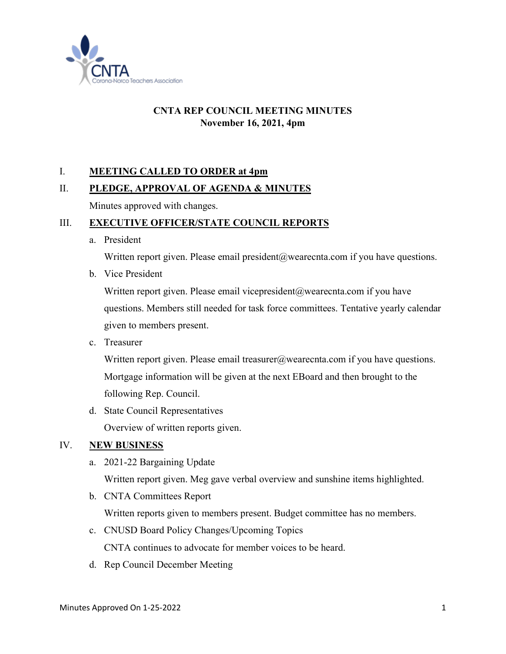

# **CNTA REP COUNCIL MEETING MINUTES November 16, 2021, 4pm**

## I. **MEETING CALLED TO ORDER at 4pm**

## II. **PLEDGE, APPROVAL OF AGENDA & MINUTES**

Minutes approved with changes.

#### III. **EXECUTIVE OFFICER/STATE COUNCIL REPORTS**

a. President

Written report given. Please email president@wearecnta.com if you have questions.

b. Vice President

Written report given. Please email vicepresident@wearecnta.com if you have questions. Members still needed for task force committees. Tentative yearly calendar given to members present.

c. Treasurer

Written report given. Please email treasurer@wearecnta.com if you have questions. Mortgage information will be given at the next EBoard and then brought to the following Rep. Council.

d. State Council Representatives

Overview of written reports given.

## IV. **NEW BUSINESS**

a. 2021-22 Bargaining Update

Written report given. Meg gave verbal overview and sunshine items highlighted.

b. CNTA Committees Report

Written reports given to members present. Budget committee has no members.

- c. CNUSD Board Policy Changes/Upcoming Topics CNTA continues to advocate for member voices to be heard.
- d. Rep Council December Meeting